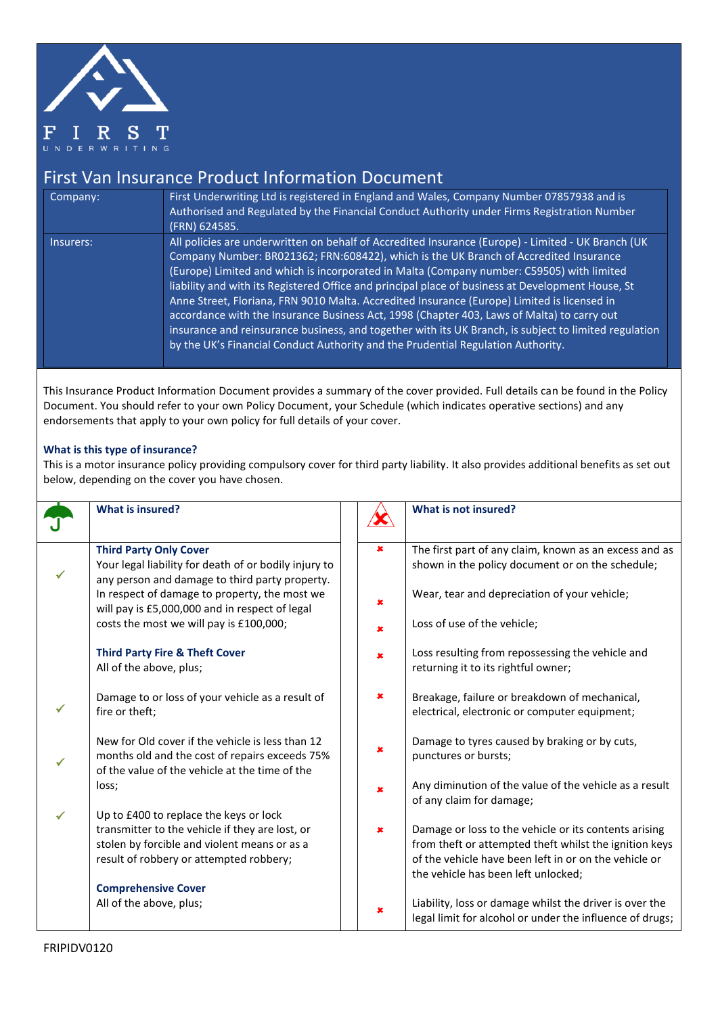

## First Van Insurance Product Information Document

| Company:  | First Underwriting Ltd is registered in England and Wales, Company Number 07857938 and is<br>Authorised and Regulated by the Financial Conduct Authority under Firms Registration Number<br>(FRN) 624585.                                                                                                                                                                                                                                                                                                                                                                                                                                                                                                                                                                               |
|-----------|-----------------------------------------------------------------------------------------------------------------------------------------------------------------------------------------------------------------------------------------------------------------------------------------------------------------------------------------------------------------------------------------------------------------------------------------------------------------------------------------------------------------------------------------------------------------------------------------------------------------------------------------------------------------------------------------------------------------------------------------------------------------------------------------|
| Insurers: | All policies are underwritten on behalf of Accredited Insurance (Europe) - Limited - UK Branch (UK<br>Company Number: BR021362; FRN:608422), which is the UK Branch of Accredited Insurance<br>(Europe) Limited and which is incorporated in Malta (Company number: C59505) with limited<br>liability and with its Registered Office and principal place of business at Development House, St<br>Anne Street, Floriana, FRN 9010 Malta. Accredited Insurance (Europe) Limited is licensed in<br>accordance with the Insurance Business Act, 1998 (Chapter 403, Laws of Malta) to carry out<br>insurance and reinsurance business, and together with its UK Branch, is subject to limited regulation<br>by the UK's Financial Conduct Authority and the Prudential Regulation Authority. |

This Insurance Product Information Document provides a summary of the cover provided. Full details can be found in the Policy Document. You should refer to your own Policy Document, your Schedule (which indicates operative sections) and any endorsements that apply to your own policy for full details of your cover.

## **What is this type of insurance?**

This is a motor insurance policy providing compulsory cover for third party liability. It also provides additional benefits as set out below, depending on the cover you have chosen.

|   | <b>What is insured?</b>                                                                                                                              |                | What is not insured?                                                                                                |
|---|------------------------------------------------------------------------------------------------------------------------------------------------------|----------------|---------------------------------------------------------------------------------------------------------------------|
|   | <b>Third Party Only Cover</b>                                                                                                                        | $\pmb{\times}$ | The first part of any claim, known as an excess and as                                                              |
|   | Your legal liability for death of or bodily injury to<br>any person and damage to third party property.                                              |                | shown in the policy document or on the schedule;                                                                    |
|   | In respect of damage to property, the most we<br>will pay is £5,000,000 and in respect of legal                                                      | $\pmb{\times}$ | Wear, tear and depreciation of your vehicle;                                                                        |
|   | costs the most we will pay is £100,000;                                                                                                              | $\pmb{x}$      | Loss of use of the vehicle;                                                                                         |
|   | <b>Third Party Fire &amp; Theft Cover</b><br>All of the above, plus;                                                                                 | $\pmb{\times}$ | Loss resulting from repossessing the vehicle and<br>returning it to its rightful owner;                             |
|   | Damage to or loss of your vehicle as a result of<br>fire or theft;                                                                                   | ×              | Breakage, failure or breakdown of mechanical,<br>electrical, electronic or computer equipment;                      |
| ✓ | New for Old cover if the vehicle is less than 12<br>months old and the cost of repairs exceeds 75%<br>of the value of the vehicle at the time of the | $\pmb{x}$      | Damage to tyres caused by braking or by cuts,<br>punctures or bursts;                                               |
|   | loss;                                                                                                                                                | $\pmb{x}$      | Any diminution of the value of the vehicle as a result<br>of any claim for damage;                                  |
|   | Up to £400 to replace the keys or lock                                                                                                               |                |                                                                                                                     |
|   | transmitter to the vehicle if they are lost, or<br>stolen by forcible and violent means or as a                                                      | $\pmb{x}$      | Damage or loss to the vehicle or its contents arising<br>from theft or attempted theft whilst the ignition keys     |
|   | result of robbery or attempted robbery;                                                                                                              |                | of the vehicle have been left in or on the vehicle or<br>the vehicle has been left unlocked;                        |
|   | <b>Comprehensive Cover</b>                                                                                                                           |                |                                                                                                                     |
|   | All of the above, plus;                                                                                                                              | ×              | Liability, loss or damage whilst the driver is over the<br>legal limit for alcohol or under the influence of drugs; |